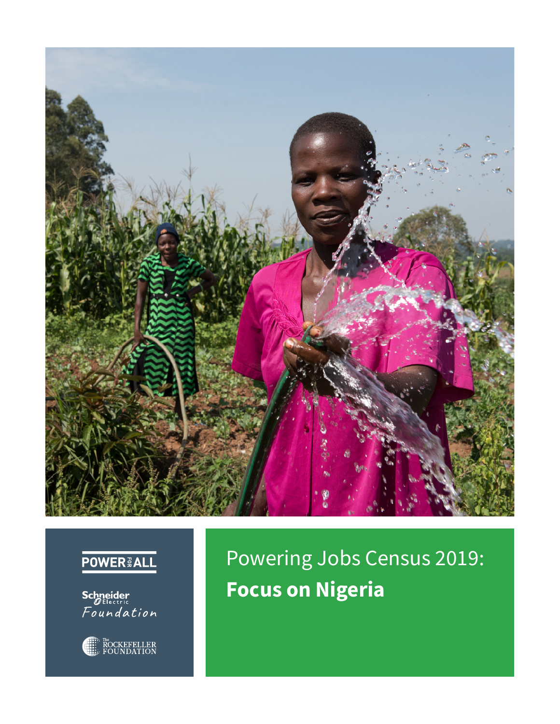

## **POWER & ALL**

**Schneider**<br>*Pelectric*<br>Foundation



Powering Jobs Census 2019: **Focus on Nigeria**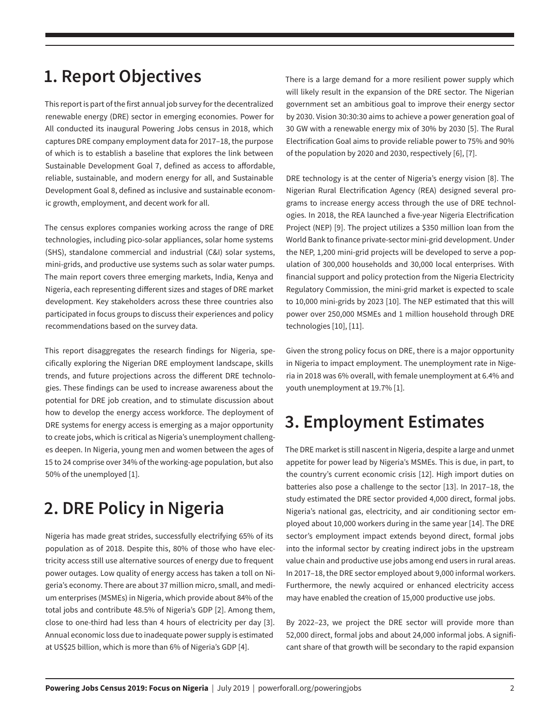### **1. Report Objectives**

This report is part of the first annual job survey for the decentralized renewable energy (DRE) sector in emerging economies. Power for All conducted its inaugural Powering Jobs census in 2018, which captures DRE company employment data for 2017–18, the purpose of which is to establish a baseline that explores the link between Sustainable Development Goal 7, defined as access to affordable, reliable, sustainable, and modern energy for all, and Sustainable Development Goal 8, defined as inclusive and sustainable economic growth, employment, and decent work for all.

The census explores companies working across the range of DRE technologies, including pico-solar appliances, solar home systems (SHS), standalone commercial and industrial (C&I) solar systems, mini-grids, and productive use systems such as solar water pumps. The main report covers three emerging markets, India, Kenya and Nigeria, each representing different sizes and stages of DRE market development. Key stakeholders across these three countries also participated in focus groups to discuss their experiences and policy recommendations based on the survey data.

This report disaggregates the research findings for Nigeria, specifically exploring the Nigerian DRE employment landscape, skills trends, and future projections across the different DRE technologies. These findings can be used to increase awareness about the potential for DRE job creation, and to stimulate discussion about how to develop the energy access workforce. The deployment of DRE systems for energy access is emerging as a major opportunity to create jobs, which is critical as Nigeria's unemployment challenges deepen. In Nigeria, young men and women between the ages of 15 to 24 comprise over 34% of the working-age population, but also 50% of the unemployed [1].

# **2. DRE Policy in Nigeria**

Nigeria has made great strides, successfully electrifying 65% of its population as of 2018. Despite this, 80% of those who have electricity access still use alternative sources of energy due to frequent power outages. Low quality of energy access has taken a toll on Nigeria's economy. There are about 37 million micro, small, and medium enterprises (MSMEs) in Nigeria, which provide about 84% of the total jobs and contribute 48.5% of Nigeria's GDP [2]. Among them, close to one-third had less than 4 hours of electricity per day [3]. Annual economic loss due to inadequate power supply is estimated at US\$25 billion, which is more than 6% of Nigeria's GDP [4].

There is a large demand for a more resilient power supply which will likely result in the expansion of the DRE sector. The Nigerian government set an ambitious goal to improve their energy sector by 2030. Vision 30:30:30 aims to achieve a power generation goal of 30 GW with a renewable energy mix of 30% by 2030 [5]. The Rural Electrification Goal aims to provide reliable power to 75% and 90% of the population by 2020 and 2030, respectively [6], [7].

DRE technology is at the center of Nigeria's energy vision [8]. The Nigerian Rural Electrification Agency (REA) designed several programs to increase energy access through the use of DRE technologies. In 2018, the REA launched a five-year Nigeria Electrification Project (NEP) [9]. The project utilizes a \$350 million loan from the World Bank to finance private-sector mini-grid development. Under the NEP, 1,200 mini-grid projects will be developed to serve a population of 300,000 households and 30,000 local enterprises. With financial support and policy protection from the Nigeria Electricity Regulatory Commission, the mini-grid market is expected to scale to 10,000 mini-grids by 2023 [10]. The NEP estimated that this will power over 250,000 MSMEs and 1 million household through DRE technologies [10], [11].

Given the strong policy focus on DRE, there is a major opportunity in Nigeria to impact employment. The unemployment rate in Nigeria in 2018 was 6% overall, with female unemployment at 6.4% and youth unemployment at 19.7% [1].

# **3. Employment Estimates**

The DRE market is still nascent in Nigeria, despite a large and unmet appetite for power lead by Nigeria's MSMEs. This is due, in part, to the country's current economic crisis [12]. High import duties on batteries also pose a challenge to the sector [13]. In 2017–18, the study estimated the DRE sector provided 4,000 direct, formal jobs. Nigeria's national gas, electricity, and air conditioning sector employed about 10,000 workers during in the same year [14]. The DRE sector's employment impact extends beyond direct, formal jobs into the informal sector by creating indirect jobs in the upstream value chain and productive use jobs among end users in rural areas. In 2017–18, the DRE sector employed about 9,000 informal workers. Furthermore, the newly acquired or enhanced electricity access may have enabled the creation of 15,000 productive use jobs.

By 2022–23, we project the DRE sector will provide more than 52,000 direct, formal jobs and about 24,000 informal jobs. A significant share of that growth will be secondary to the rapid expansion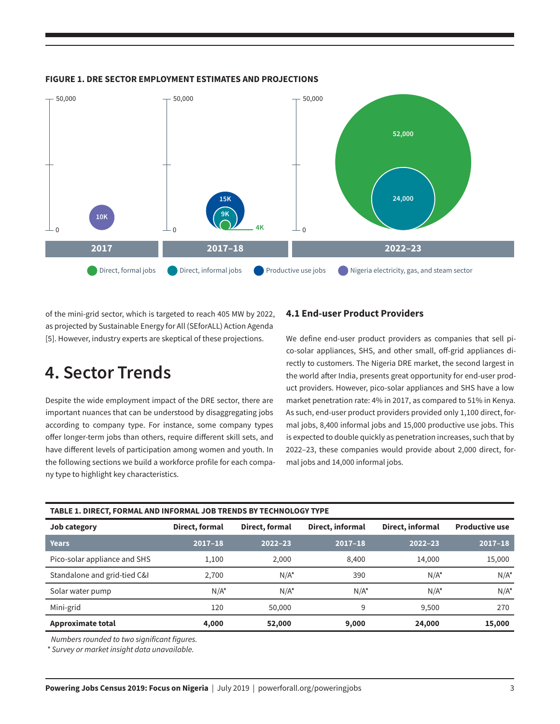

#### **FIGURE 1. DRE SECTOR EMPLOYMENT ESTIMATES AND PROJECTIONS**

of the mini-grid sector, which is targeted to reach 405 MW by 2022, as projected by Sustainable Energy for All (SEforALL) Action Agenda [5]. However, industry experts are skeptical of these projections.

### **4. Sector Trends**

Despite the wide employment impact of the DRE sector, there are important nuances that can be understood by disaggregating jobs according to company type. For instance, some company types offer longer-term jobs than others, require different skill sets, and have different levels of participation among women and youth. In the following sections we build a workforce profile for each company type to highlight key characteristics.

#### **4.1 End-user Product Providers**

We define end-user product providers as companies that sell pico-solar appliances, SHS, and other small, off-grid appliances directly to customers. The Nigeria DRE market, the second largest in the world after India, presents great opportunity for end-user product providers. However, pico-solar appliances and SHS have a low market penetration rate: 4% in 2017, as compared to 51% in Kenya. As such, end-user product providers provided only 1,100 direct, formal jobs, 8,400 informal jobs and 15,000 productive use jobs. This is expected to double quickly as penetration increases, such that by 2022–23, these companies would provide about 2,000 direct, formal jobs and 14,000 informal jobs.

| TABLE 1. DIRECT, FORMAL AND INFORMAL JOB TRENDS BY TECHNOLOGY TYPE |                |                |                  |                  |                       |
|--------------------------------------------------------------------|----------------|----------------|------------------|------------------|-----------------------|
| Job category                                                       | Direct, formal | Direct, formal | Direct, informal | Direct, informal | <b>Productive use</b> |
| <b>Years</b>                                                       | $2017 - 18$    | $2022 - 23$    | $2017 - 18$      | $2022 - 23$      | $2017 - 18$           |
| Pico-solar appliance and SHS                                       | 1,100          | 2.000          | 8,400            | 14,000           | 15,000                |
| Standalone and grid-tied C&I                                       | 2.700          | $N/A^*$        | 390              | $N/A^*$          | $N/A^*$               |
| Solar water pump                                                   | $N/A^*$        | $N/A^*$        | $N/A^*$          | $N/A^*$          | $N/A^*$               |
| Mini-grid                                                          | 120            | 50,000         | 9                | 9.500            | 270                   |
| <b>Approximate total</b>                                           | 4,000          | 52,000         | 9,000            | 24,000           | 15,000                |

*Numbers rounded to two significant figures.*

*\* Survey or market insight data unavailable.*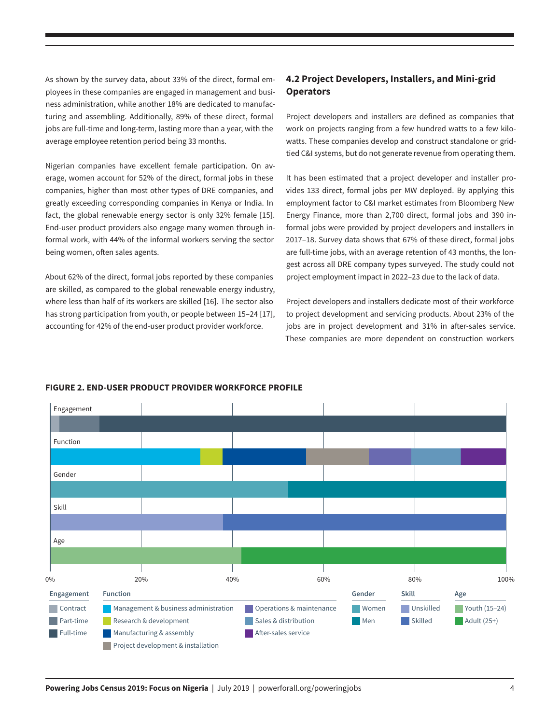As shown by the survey data, about 33% of the direct, formal employees in these companies are engaged in management and business administration, while another 18% are dedicated to manufacturing and assembling. Additionally, 89% of these direct, formal jobs are full-time and long-term, lasting more than a year, with the average employee retention period being 33 months.

Nigerian companies have excellent female participation. On average, women account for 52% of the direct, formal jobs in these companies, higher than most other types of DRE companies, and greatly exceeding corresponding companies in Kenya or India. In fact, the global renewable energy sector is only 32% female [15]. End-user product providers also engage many women through informal work, with 44% of the informal workers serving the sector being women, often sales agents.

About 62% of the direct, formal jobs reported by these companies are skilled, as compared to the global renewable energy industry, where less than half of its workers are skilled [16]. The sector also has strong participation from youth, or people between 15-24 [17], accounting for 42% of the end-user product provider workforce.

### **4.2 Project Developers, Installers, and Mini-grid Operators**

Project developers and installers are defined as companies that work on projects ranging from a few hundred watts to a few kilowatts. These companies develop and construct standalone or gridtied C&I systems, but do not generate revenue from operating them.

It has been estimated that a project developer and installer provides 133 direct, formal jobs per MW deployed. By applying this employment factor to C&I market estimates from Bloomberg New Energy Finance, more than 2,700 direct, formal jobs and 390 informal jobs were provided by project developers and installers in 2017–18. Survey data shows that 67% of these direct, formal jobs are full-time jobs, with an average retention of 43 months, the longest across all DRE company types surveyed. The study could not project employment impact in 2022–23 due to the lack of data.

Project developers and installers dedicate most of their workforce to project development and servicing products. About 23% of the jobs are in project development and 31% in after-sales service. These companies are more dependent on construction workers



#### **FIGURE 2. END-USER PRODUCT PROVIDER WORKFORCE PROFILE**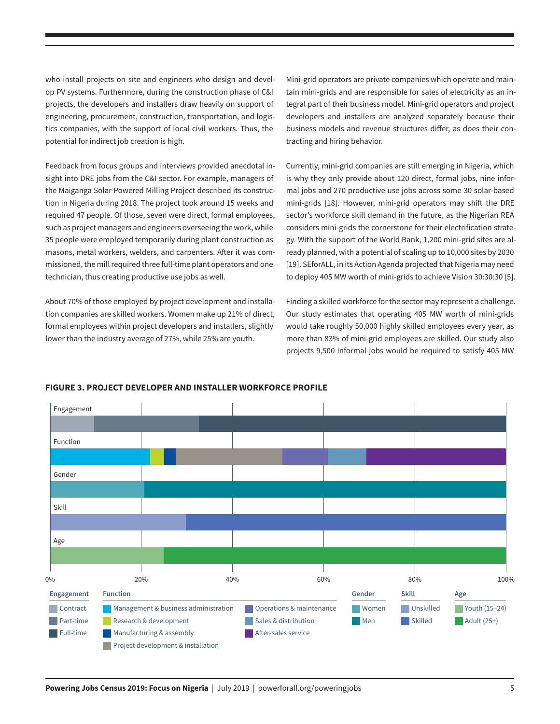who install projects on site and engineers who design and develop PV systems. Furthermore, during the construction phase of C&I projects, the developers and installers draw heavily on support of engineering, procurement, construction, transportation, and logistics companies, with the support of local civil workers. Thus, the potential for indirect job creation is high.

Feedback from focus groups and interviews provided anecdotal insight into DRE jobs from the C&I sector. For example, managers of the Maiganga Solar Powered Milling Project described its construction in Nigeria during 2018. The project took around 15 weeks and required 47 people. Of those, seven were direct, formal employees, such as project managers and engineers overseeing the work, while 35 people were employed temporarily during plant construction as masons, metal workers, welders, and carpenters. After it was commissioned, the mill required three full-time plant operators and one technician, thus creating productive use jobs as well.

About 70% of those employed by project development and installation companies are skilled workers. Women make up 21% of direct, formal employees within project developers and installers, slightly lower than the industry average of 27%, while 25% are youth.

Mini-grid operators are private companies which operate and maintain mini-grids and are responsible for sales of electricity as an integral part of their business model. Mini-grid operators and project developers and installers are analyzed separately because their business models and revenue structures differ, as does their contracting and hiring behavior.

Currently, mini-grid companies are still emerging in Nigeria, which is why they only provide about 120 direct, formal jobs, nine informal jobs and 270 productive use jobs across some 30 solar-based mini-grids [18]. However, mini-grid operators may shift the DRE sector's workforce skill demand in the future, as the Nigerian REA considers mini-grids the cornerstone for their electrification strategy. With the support of the World Bank, 1,200 mini-grid sites are already planned, with a potential of scaling up to 10,000 sites by 2030 [19]. SEforALL, in its Action Agenda projected that Nigeria may need to deploy 405 MW worth of mini-grids to achieve Vision 30:30:30 [5].

Finding a skilled workforce for the sector may represent a challenge. Our study estimates that operating 405 MW worth of mini-grids would take roughly 50,000 highly skilled employees every year, as more than 83% of mini-grid employees are skilled. Our study also projects 9,500 informal jobs would be required to satisfy 405 MW



#### **FIGURE 3. PROJECT DEVELOPER AND INSTALLER WORKFORCE PROFILE**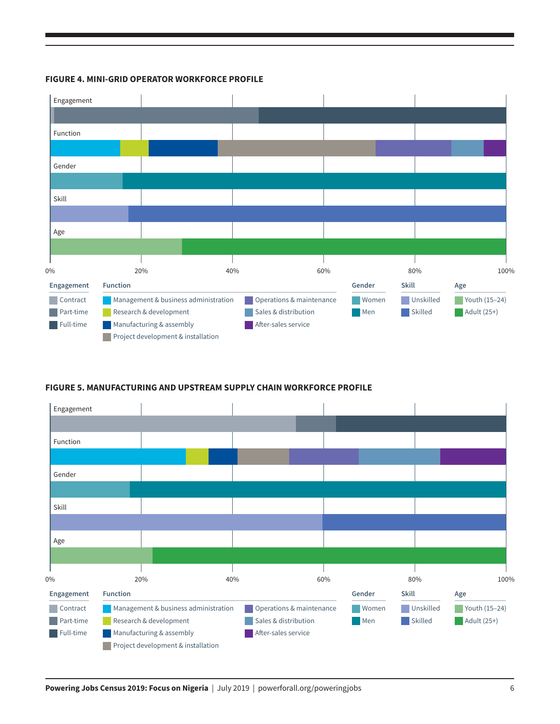



### **FIGURE 5. MANUFACTURING AND UPSTREAM SUPPLY CHAIN WORKFORCE PROFILE**

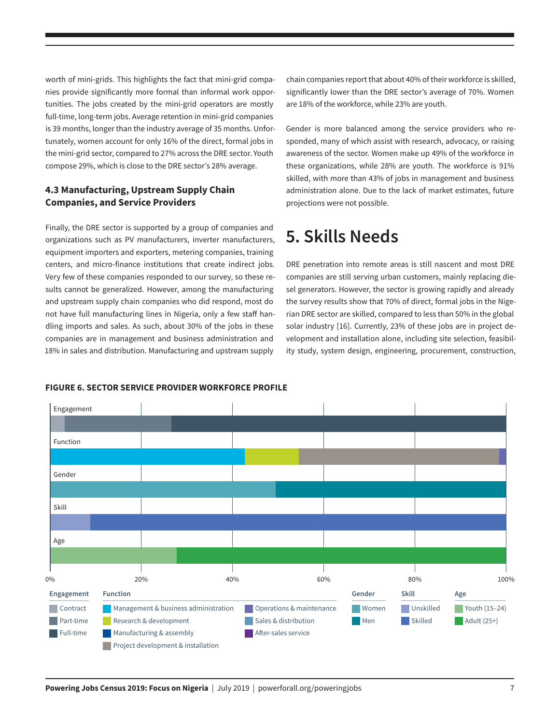worth of mini-grids. This highlights the fact that mini-grid companies provide significantly more formal than informal work opportunities. The jobs created by the mini-grid operators are mostly full-time, long-term jobs. Average retention in mini-grid companies is 39 months, longer than the industry average of 35 months. Unfortunately, women account for only 16% of the direct, formal jobs in the mini-grid sector, compared to 27% across the DRE sector. Youth compose 29%, which is close to the DRE sector's 28% average.

### **4.3 Manufacturing, Upstream Supply Chain Companies, and Service Providers**

Finally, the DRE sector is supported by a group of companies and organizations such as PV manufacturers, inverter manufacturers, equipment importers and exporters, metering companies, training centers, and micro-finance institutions that create indirect jobs. Very few of these companies responded to our survey, so these results cannot be generalized. However, among the manufacturing and upstream supply chain companies who did respond, most do not have full manufacturing lines in Nigeria, only a few staff handling imports and sales. As such, about 30% of the jobs in these companies are in management and business administration and 18% in sales and distribution. Manufacturing and upstream supply

chain companies report that about 40% of their workforce is skilled, significantly lower than the DRE sector's average of 70%. Women are 18% of the workforce, while 23% are youth.

Gender is more balanced among the service providers who responded, many of which assist with research, advocacy, or raising awareness of the sector. Women make up 49% of the workforce in these organizations, while 28% are youth. The workforce is 91% skilled, with more than 43% of jobs in management and business administration alone. Due to the lack of market estimates, future projections were not possible.

### **5. Skills Needs**

DRE penetration into remote areas is still nascent and most DRE companies are still serving urban customers, mainly replacing diesel generators. However, the sector is growing rapidly and already the survey results show that 70% of direct, formal jobs in the Nigerian DRE sector are skilled, compared to less than 50% in the global solar industry [16]. Currently, 23% of these jobs are in project development and installation alone, including site selection, feasibility study, system design, engineering, procurement, construction,



#### **FIGURE 6. SECTOR SERVICE PROVIDER WORKFORCE PROFILE**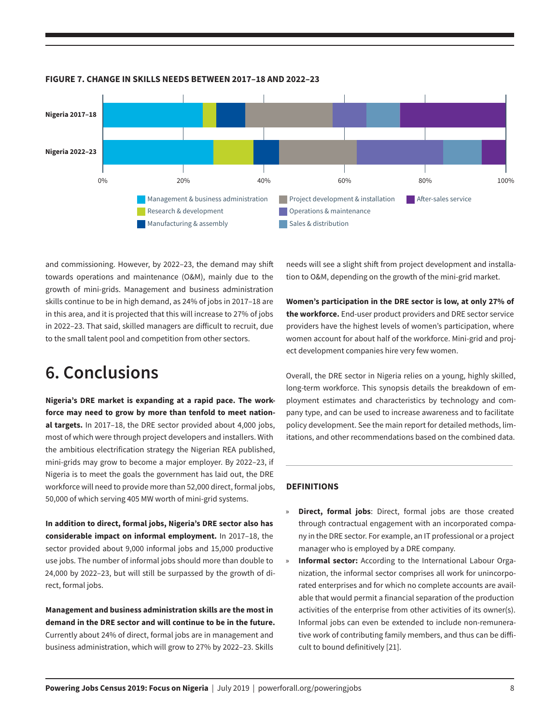

**FIGURE 7. CHANGE IN SKILLS NEEDS BETWEEN 2017–18 AND 2022–23**

and commissioning. However, by 2022–23, the demand may shift towards operations and maintenance (O&M), mainly due to the growth of mini-grids. Management and business administration skills continue to be in high demand, as 24% of jobs in 2017–18 are in this area, and it is projected that this will increase to 27% of jobs in 2022–23. That said, skilled managers are difficult to recruit, due to the small talent pool and competition from other sectors.

### **6. Conclusions**

**Nigeria's DRE market is expanding at a rapid pace. The workforce may need to grow by more than tenfold to meet national targets.** In 2017–18, the DRE sector provided about 4,000 jobs, most of which were through project developers and installers. With the ambitious electrification strategy the Nigerian REA published, mini-grids may grow to become a major employer. By 2022–23, if Nigeria is to meet the goals the government has laid out, the DRE workforce will need to provide more than 52,000 direct, formal jobs, 50,000 of which serving 405 MW worth of mini-grid systems.

**In addition to direct, formal jobs, Nigeria's DRE sector also has considerable impact on informal employment.** In 2017–18, the sector provided about 9,000 informal jobs and 15,000 productive use jobs. The number of informal jobs should more than double to 24,000 by 2022–23, but will still be surpassed by the growth of direct, formal jobs.

**Management and business administration skills are the most in demand in the DRE sector and will continue to be in the future.**  Currently about 24% of direct, formal jobs are in management and business administration, which will grow to 27% by 2022–23. Skills

needs will see a slight shift from project development and installation to O&M, depending on the growth of the mini-grid market.

**Women's participation in the DRE sector is low, at only 27% of the workforce.** End-user product providers and DRE sector service providers have the highest levels of women's participation, where women account for about half of the workforce. Mini-grid and project development companies hire very few women.

Overall, the DRE sector in Nigeria relies on a young, highly skilled, long-term workforce. This synopsis details the breakdown of employment estimates and characteristics by technology and company type, and can be used to increase awareness and to facilitate policy development. See the main report for detailed methods, limitations, and other recommendations based on the combined data.

#### **DEFINITIONS**

l

- » **Direct, formal jobs**: Direct, formal jobs are those created through contractual engagement with an incorporated company in the DRE sector. For example, an IT professional or a project manager who is employed by a DRE company.
- **Informal sector:** According to the International Labour Organization, the informal sector comprises all work for unincorporated enterprises and for which no complete accounts are available that would permit a financial separation of the production activities of the enterprise from other activities of its owner(s). Informal jobs can even be extended to include non-remunerative work of contributing family members, and thus can be difficult to bound definitively [21].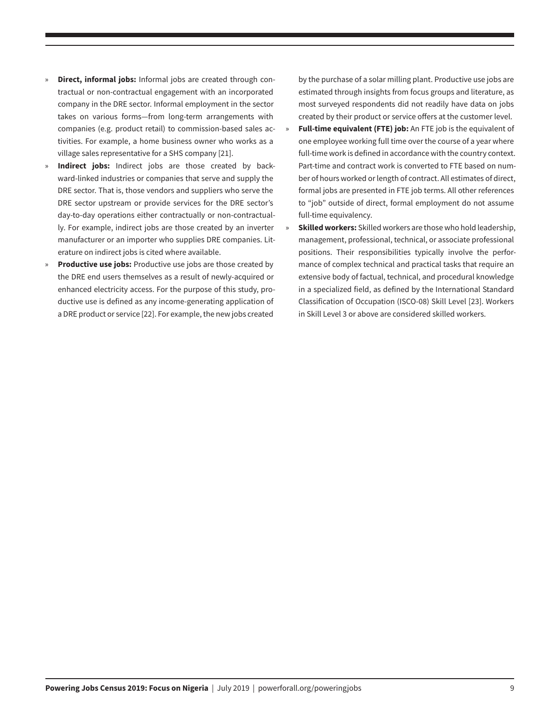- **Direct, informal jobs:** Informal jobs are created through contractual or non-contractual engagement with an incorporated company in the DRE sector. Informal employment in the sector takes on various forms—from long-term arrangements with companies (e.g. product retail) to commission-based sales activities. For example, a home business owner who works as a village sales representative for a SHS company [21].
- Indirect jobs: Indirect jobs are those created by backward-linked industries or companies that serve and supply the DRE sector. That is, those vendors and suppliers who serve the DRE sector upstream or provide services for the DRE sector's day-to-day operations either contractually or non-contractually. For example, indirect jobs are those created by an inverter manufacturer or an importer who supplies DRE companies. Literature on indirect jobs is cited where available.
- » **Productive use jobs:** Productive use jobs are those created by the DRE end users themselves as a result of newly-acquired or enhanced electricity access. For the purpose of this study, productive use is defined as any income-generating application of a DRE product or service [22]. For example, the new jobs created

by the purchase of a solar milling plant. Productive use jobs are estimated through insights from focus groups and literature, as most surveyed respondents did not readily have data on jobs created by their product or service offers at the customer level.

- » **Full-time equivalent (FTE) job:** An FTE job is the equivalent of one employee working full time over the course of a year where full-time work is defined in accordance with the country context. Part-time and contract work is converted to FTE based on number of hours worked or length of contract. All estimates of direct, formal jobs are presented in FTE job terms. All other references to "job" outside of direct, formal employment do not assume full-time equivalency.
- **Skilled workers:** Skilled workers are those who hold leadership, management, professional, technical, or associate professional positions. Their responsibilities typically involve the performance of complex technical and practical tasks that require an extensive body of factual, technical, and procedural knowledge in a specialized field, as defined by the International Standard Classification of Occupation (ISCO-08) Skill Level [23]. Workers in Skill Level 3 or above are considered skilled workers.